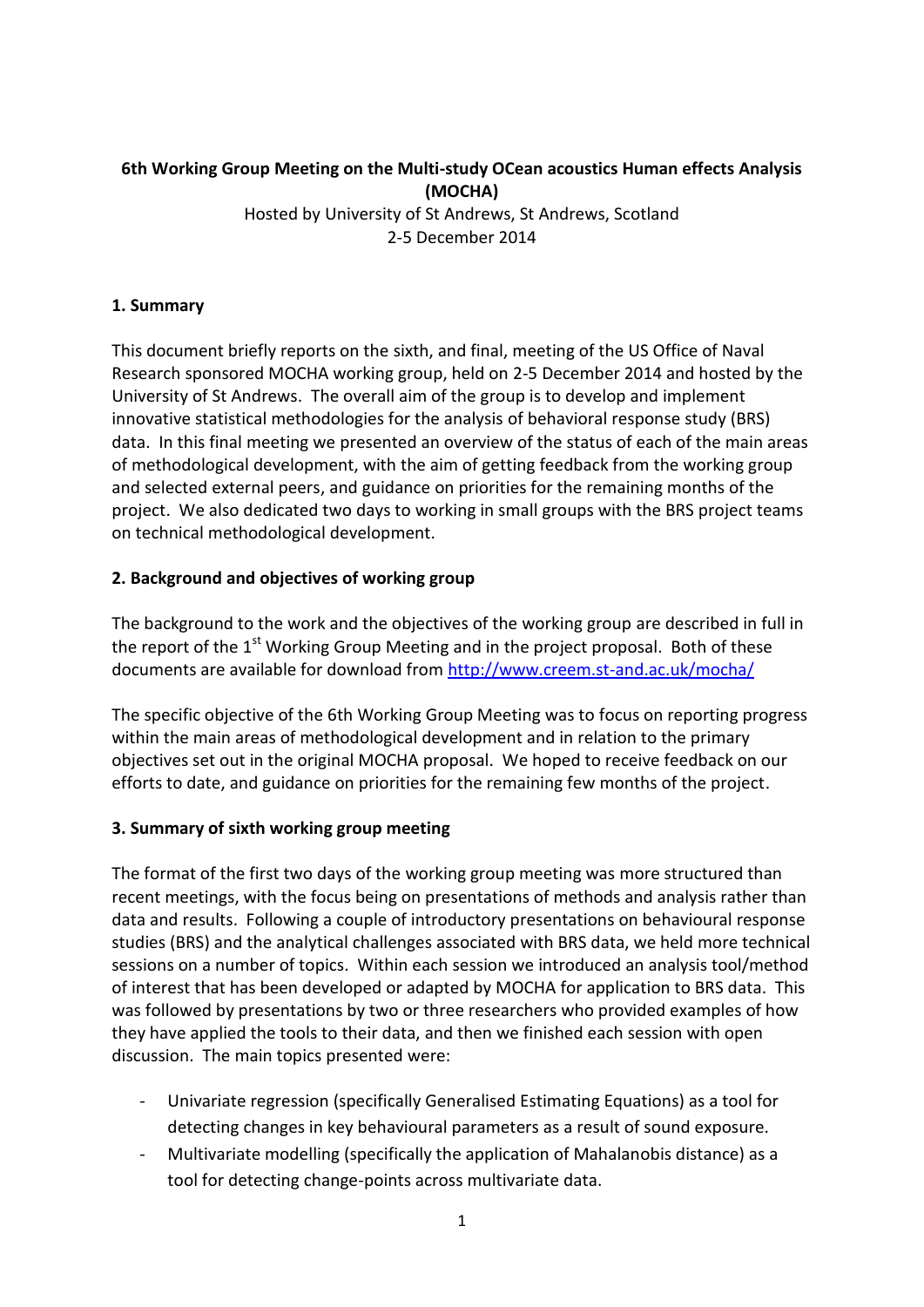# **6th Working Group Meeting on the Multi-study OCean acoustics Human effects Analysis (MOCHA)**

Hosted by University of St Andrews, St Andrews, Scotland 2-5 December 2014

## **1. Summary**

This document briefly reports on the sixth, and final, meeting of the US Office of Naval Research sponsored MOCHA working group, held on 2-5 December 2014 and hosted by the University of St Andrews. The overall aim of the group is to develop and implement innovative statistical methodologies for the analysis of behavioral response study (BRS) data. In this final meeting we presented an overview of the status of each of the main areas of methodological development, with the aim of getting feedback from the working group and selected external peers, and guidance on priorities for the remaining months of the project. We also dedicated two days to working in small groups with the BRS project teams on technical methodological development.

## **2. Background and objectives of working group**

The background to the work and the objectives of the working group are described in full in the report of the  $1<sup>st</sup>$  Working Group Meeting and in the project proposal. Both of these documents are available for download from<http://www.creem.st-and.ac.uk/mocha/>

The specific objective of the 6th Working Group Meeting was to focus on reporting progress within the main areas of methodological development and in relation to the primary objectives set out in the original MOCHA proposal. We hoped to receive feedback on our efforts to date, and guidance on priorities for the remaining few months of the project.

# **3. Summary of sixth working group meeting**

The format of the first two days of the working group meeting was more structured than recent meetings, with the focus being on presentations of methods and analysis rather than data and results. Following a couple of introductory presentations on behavioural response studies (BRS) and the analytical challenges associated with BRS data, we held more technical sessions on a number of topics. Within each session we introduced an analysis tool/method of interest that has been developed or adapted by MOCHA for application to BRS data. This was followed by presentations by two or three researchers who provided examples of how they have applied the tools to their data, and then we finished each session with open discussion. The main topics presented were:

- Univariate regression (specifically Generalised Estimating Equations) as a tool for detecting changes in key behavioural parameters as a result of sound exposure.
- Multivariate modelling (specifically the application of Mahalanobis distance) as a tool for detecting change-points across multivariate data.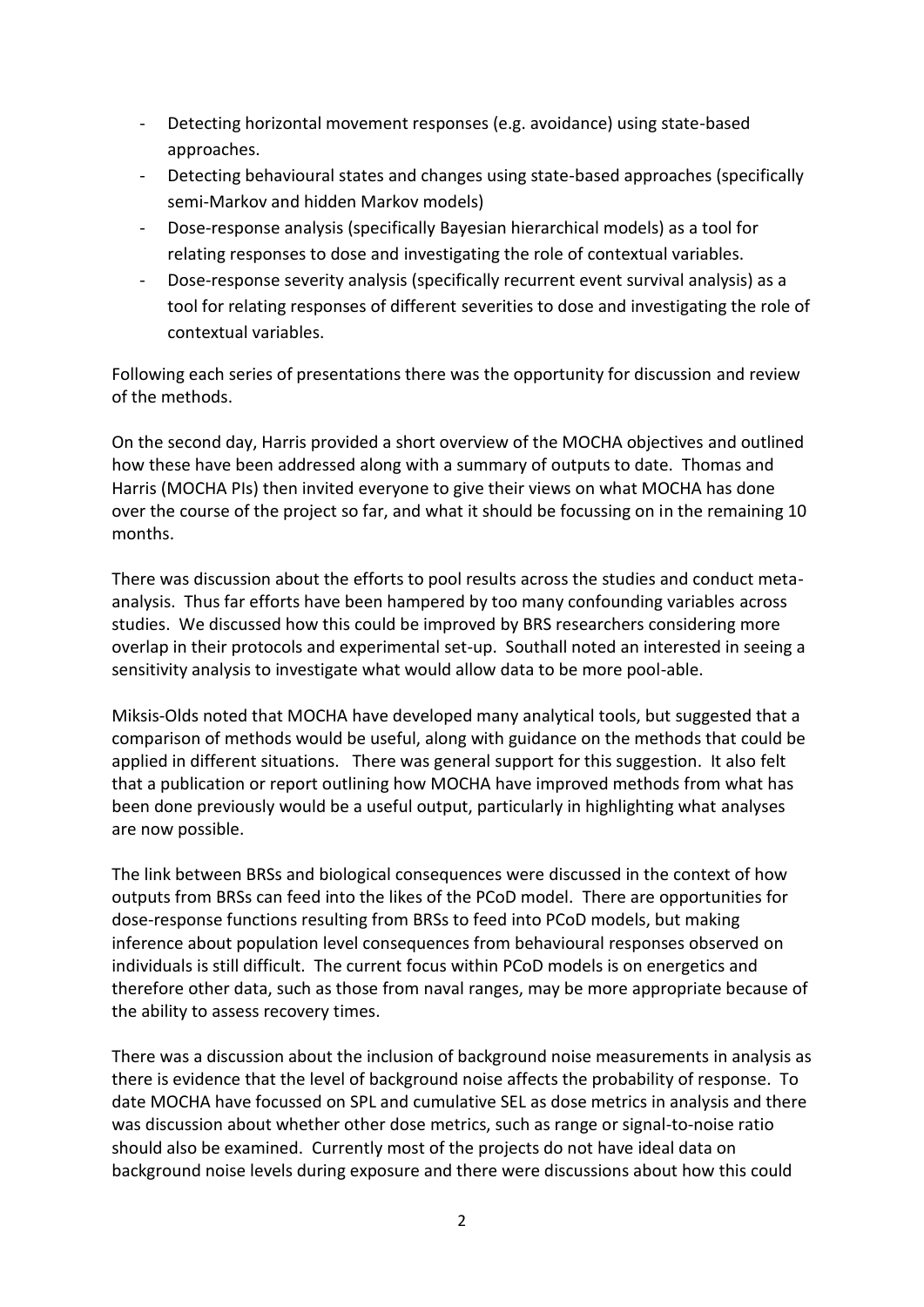- Detecting horizontal movement responses (e.g. avoidance) using state-based approaches.
- Detecting behavioural states and changes using state-based approaches (specifically semi-Markov and hidden Markov models)
- Dose-response analysis (specifically Bayesian hierarchical models) as a tool for relating responses to dose and investigating the role of contextual variables.
- Dose-response severity analysis (specifically recurrent event survival analysis) as a tool for relating responses of different severities to dose and investigating the role of contextual variables.

Following each series of presentations there was the opportunity for discussion and review of the methods.

On the second day, Harris provided a short overview of the MOCHA objectives and outlined how these have been addressed along with a summary of outputs to date. Thomas and Harris (MOCHA PIs) then invited everyone to give their views on what MOCHA has done over the course of the project so far, and what it should be focussing on in the remaining 10 months.

There was discussion about the efforts to pool results across the studies and conduct metaanalysis. Thus far efforts have been hampered by too many confounding variables across studies. We discussed how this could be improved by BRS researchers considering more overlap in their protocols and experimental set-up. Southall noted an interested in seeing a sensitivity analysis to investigate what would allow data to be more pool-able.

Miksis-Olds noted that MOCHA have developed many analytical tools, but suggested that a comparison of methods would be useful, along with guidance on the methods that could be applied in different situations. There was general support for this suggestion. It also felt that a publication or report outlining how MOCHA have improved methods from what has been done previously would be a useful output, particularly in highlighting what analyses are now possible.

The link between BRSs and biological consequences were discussed in the context of how outputs from BRSs can feed into the likes of the PCoD model. There are opportunities for dose-response functions resulting from BRSs to feed into PCoD models, but making inference about population level consequences from behavioural responses observed on individuals is still difficult. The current focus within PCoD models is on energetics and therefore other data, such as those from naval ranges, may be more appropriate because of the ability to assess recovery times.

There was a discussion about the inclusion of background noise measurements in analysis as there is evidence that the level of background noise affects the probability of response. To date MOCHA have focussed on SPL and cumulative SEL as dose metrics in analysis and there was discussion about whether other dose metrics, such as range or signal-to-noise ratio should also be examined. Currently most of the projects do not have ideal data on background noise levels during exposure and there were discussions about how this could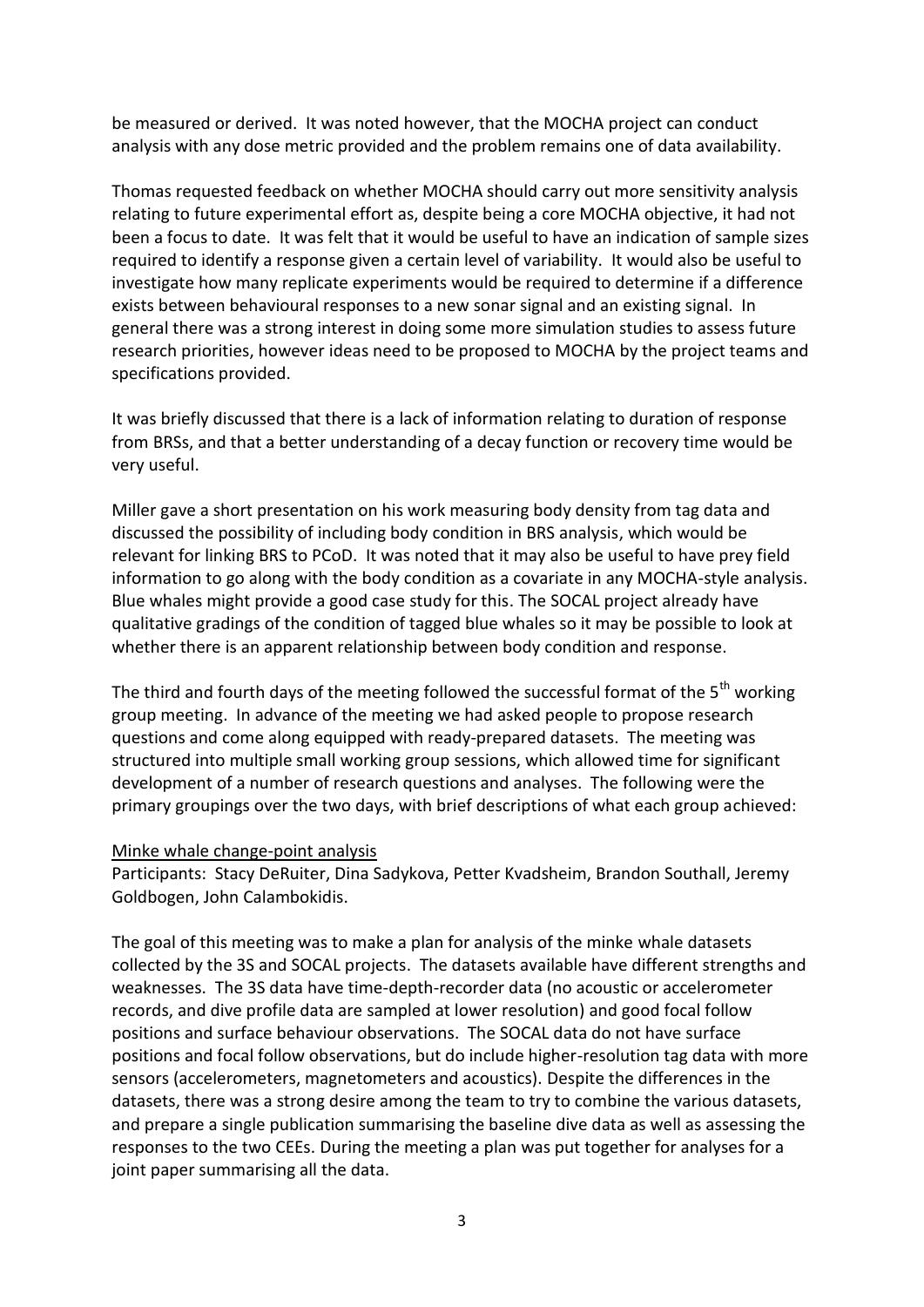be measured or derived. It was noted however, that the MOCHA project can conduct analysis with any dose metric provided and the problem remains one of data availability.

Thomas requested feedback on whether MOCHA should carry out more sensitivity analysis relating to future experimental effort as, despite being a core MOCHA objective, it had not been a focus to date. It was felt that it would be useful to have an indication of sample sizes required to identify a response given a certain level of variability. It would also be useful to investigate how many replicate experiments would be required to determine if a difference exists between behavioural responses to a new sonar signal and an existing signal. In general there was a strong interest in doing some more simulation studies to assess future research priorities, however ideas need to be proposed to MOCHA by the project teams and specifications provided.

It was briefly discussed that there is a lack of information relating to duration of response from BRSs, and that a better understanding of a decay function or recovery time would be very useful.

Miller gave a short presentation on his work measuring body density from tag data and discussed the possibility of including body condition in BRS analysis, which would be relevant for linking BRS to PCoD. It was noted that it may also be useful to have prey field information to go along with the body condition as a covariate in any MOCHA-style analysis. Blue whales might provide a good case study for this. The SOCAL project already have qualitative gradings of the condition of tagged blue whales so it may be possible to look at whether there is an apparent relationship between body condition and response.

The third and fourth days of the meeting followed the successful format of the 5<sup>th</sup> working group meeting. In advance of the meeting we had asked people to propose research questions and come along equipped with ready-prepared datasets. The meeting was structured into multiple small working group sessions, which allowed time for significant development of a number of research questions and analyses. The following were the primary groupings over the two days, with brief descriptions of what each group achieved:

### Minke whale change-point analysis

Participants: Stacy DeRuiter, Dina Sadykova, Petter Kvadsheim, Brandon Southall, Jeremy Goldbogen, John Calambokidis.

The goal of this meeting was to make a plan for analysis of the minke whale datasets collected by the 3S and SOCAL projects. The datasets available have different strengths and weaknesses. The 3S data have time-depth-recorder data (no acoustic or accelerometer records, and dive profile data are sampled at lower resolution) and good focal follow positions and surface behaviour observations. The SOCAL data do not have surface positions and focal follow observations, but do include higher-resolution tag data with more sensors (accelerometers, magnetometers and acoustics). Despite the differences in the datasets, there was a strong desire among the team to try to combine the various datasets, and prepare a single publication summarising the baseline dive data as well as assessing the responses to the two CEEs. During the meeting a plan was put together for analyses for a joint paper summarising all the data.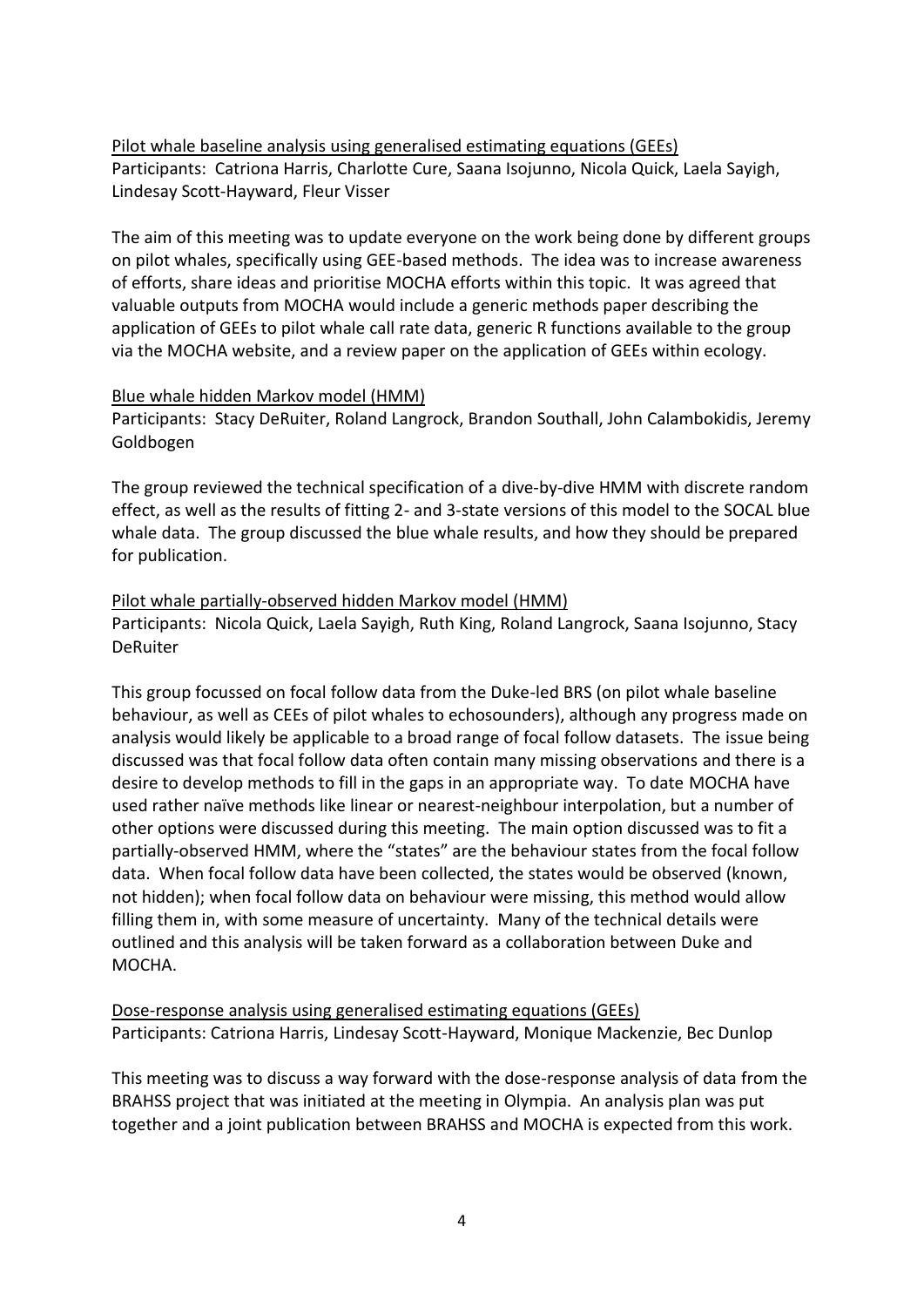Pilot whale baseline analysis using generalised estimating equations (GEEs) Participants: Catriona Harris, Charlotte Cure, Saana Isojunno, Nicola Quick, Laela Sayigh, Lindesay Scott-Hayward, Fleur Visser

The aim of this meeting was to update everyone on the work being done by different groups on pilot whales, specifically using GEE-based methods. The idea was to increase awareness of efforts, share ideas and prioritise MOCHA efforts within this topic. It was agreed that valuable outputs from MOCHA would include a generic methods paper describing the application of GEEs to pilot whale call rate data, generic R functions available to the group via the MOCHA website, and a review paper on the application of GEEs within ecology.

### Blue whale hidden Markov model (HMM)

Participants: Stacy DeRuiter, Roland Langrock, Brandon Southall, John Calambokidis, Jeremy Goldbogen

The group reviewed the technical specification of a dive-by-dive HMM with discrete random effect, as well as the results of fitting 2- and 3-state versions of this model to the SOCAL blue whale data. The group discussed the blue whale results, and how they should be prepared for publication.

## Pilot whale partially-observed hidden Markov model (HMM) Participants: Nicola Quick, Laela Sayigh, Ruth King, Roland Langrock, Saana Isojunno, Stacy **DeRuiter**

This group focussed on focal follow data from the Duke-led BRS (on pilot whale baseline behaviour, as well as CEEs of pilot whales to echosounders), although any progress made on analysis would likely be applicable to a broad range of focal follow datasets. The issue being discussed was that focal follow data often contain many missing observations and there is a desire to develop methods to fill in the gaps in an appropriate way. To date MOCHA have used rather naïve methods like linear or nearest-neighbour interpolation, but a number of other options were discussed during this meeting. The main option discussed was to fit a partially-observed HMM, where the "states" are the behaviour states from the focal follow data. When focal follow data have been collected, the states would be observed (known, not hidden); when focal follow data on behaviour were missing, this method would allow filling them in, with some measure of uncertainty. Many of the technical details were outlined and this analysis will be taken forward as a collaboration between Duke and MOCHA.

Dose-response analysis using generalised estimating equations (GEEs) Participants: Catriona Harris, Lindesay Scott-Hayward, Monique Mackenzie, Bec Dunlop

This meeting was to discuss a way forward with the dose-response analysis of data from the BRAHSS project that was initiated at the meeting in Olympia. An analysis plan was put together and a joint publication between BRAHSS and MOCHA is expected from this work.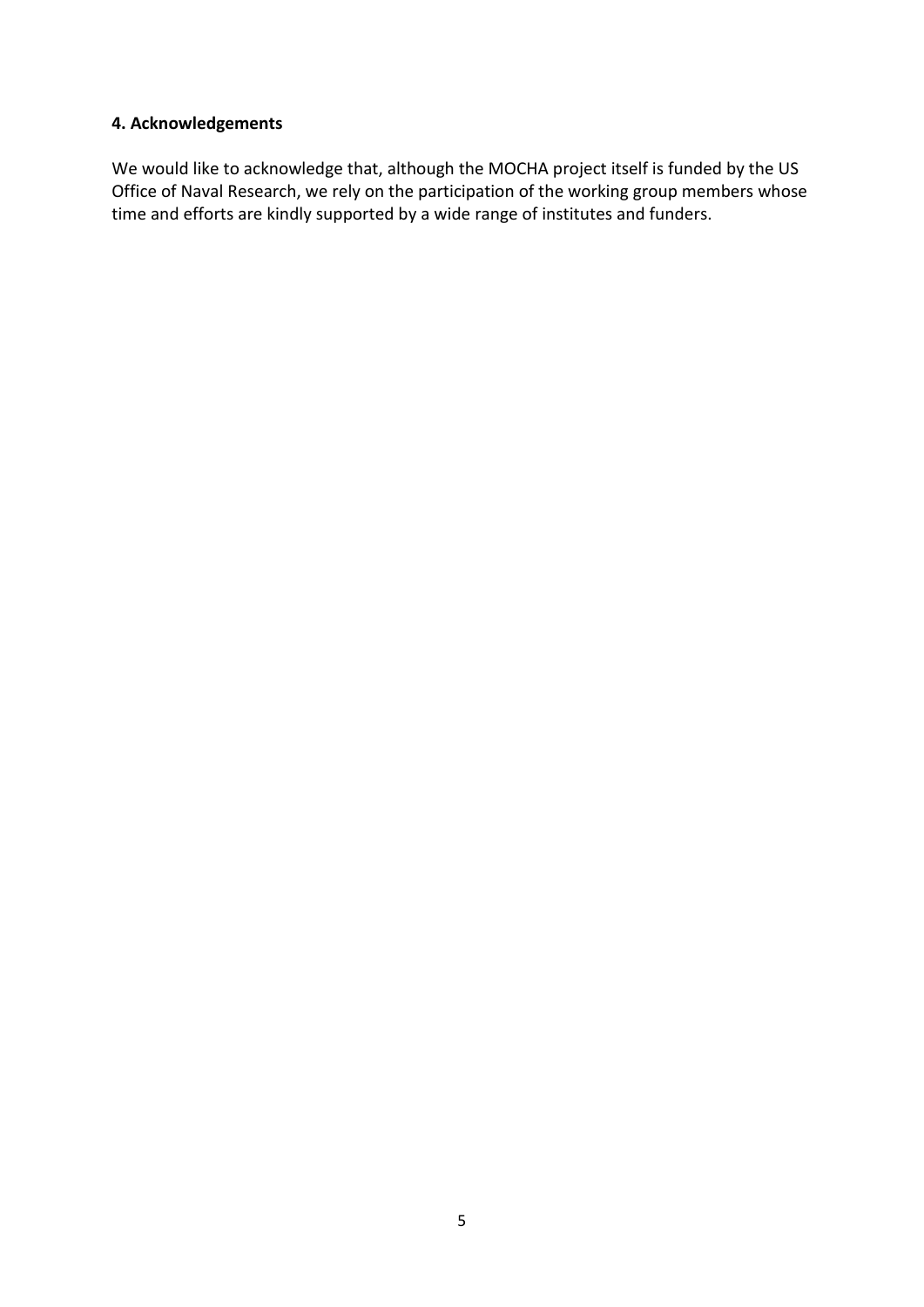## **4. Acknowledgements**

We would like to acknowledge that, although the MOCHA project itself is funded by the US Office of Naval Research, we rely on the participation of the working group members whose time and efforts are kindly supported by a wide range of institutes and funders.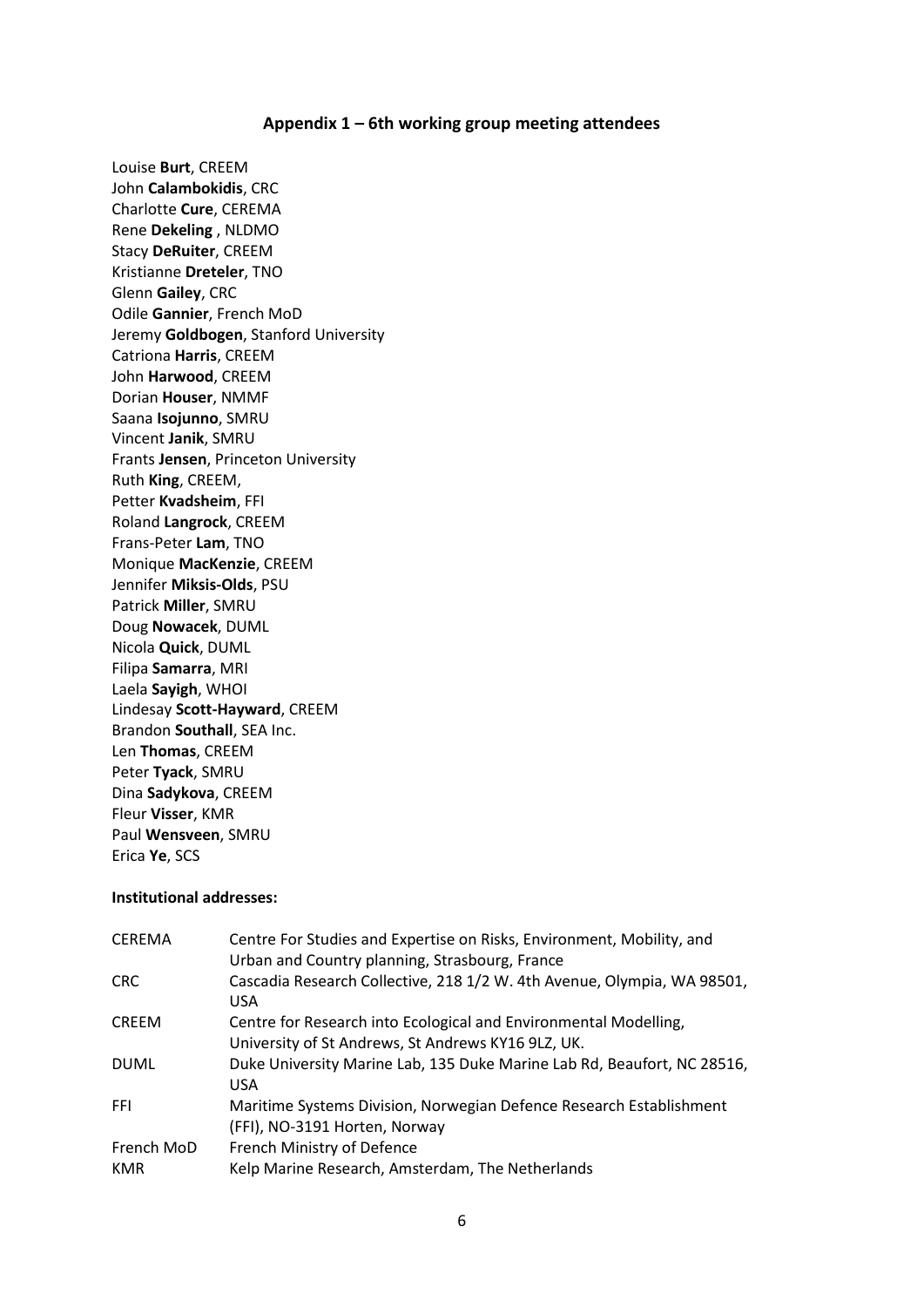#### **Appendix 1 – 6th working group meeting attendees**

Louise **Burt**, CREEM John **Calambokidis**, CRC Charlotte **Cure**, CEREMA Rene **Dekeling** , NLDMO Stacy **DeRuiter**, CREEM Kristianne **Dreteler**, TNO Glenn **Gailey**, CRC Odile **Gannier**, French MoD Jeremy **Goldbogen**, Stanford University Catriona **Harris**, CREEM John **Harwood**, CREEM Dorian **Houser**, NMMF Saana **Isojunno**, SMRU Vincent **Janik**, SMRU Frants **Jensen**, Princeton University Ruth **King**, CREEM, Petter **Kvadsheim**, FFI Roland **Langrock**, CREEM Frans-Peter **Lam**, TNO Monique **MacKenzie**, CREEM Jennifer **Miksis-Olds**, PSU Patrick **Miller**, SMRU Doug **Nowacek**, DUML Nicola **Quick**, DUML Filipa **Samarra**, MRI Laela **Sayigh**, WHOI Lindesay **Scott-Hayward**, CREEM Brandon **Southall**, SEA Inc. Len **Thomas**, CREEM Peter **Tyack**, SMRU Dina **Sadykova**, CREEM Fleur **Visser**, KMR Paul **Wensveen**, SMRU Erica **Ye**, SCS

#### **Institutional addresses:**

| <b>CEREMA</b> | Centre For Studies and Expertise on Risks, Environment, Mobility, and<br>Urban and Country planning, Strasbourg, France |
|---------------|-------------------------------------------------------------------------------------------------------------------------|
| <b>CRC</b>    | Cascadia Research Collective, 218 1/2 W. 4th Avenue, Olympia, WA 98501,<br><b>USA</b>                                   |
| <b>CREEM</b>  | Centre for Research into Ecological and Environmental Modelling,                                                        |
|               | University of St Andrews, St Andrews KY16 9LZ, UK.                                                                      |
| <b>DUML</b>   | Duke University Marine Lab, 135 Duke Marine Lab Rd, Beaufort, NC 28516,<br><b>USA</b>                                   |
| <b>FFI</b>    | Maritime Systems Division, Norwegian Defence Research Establishment                                                     |
|               | (FFI), NO-3191 Horten, Norway                                                                                           |
| French MoD    | French Ministry of Defence                                                                                              |
| <b>KMR</b>    | Kelp Marine Research, Amsterdam, The Netherlands                                                                        |